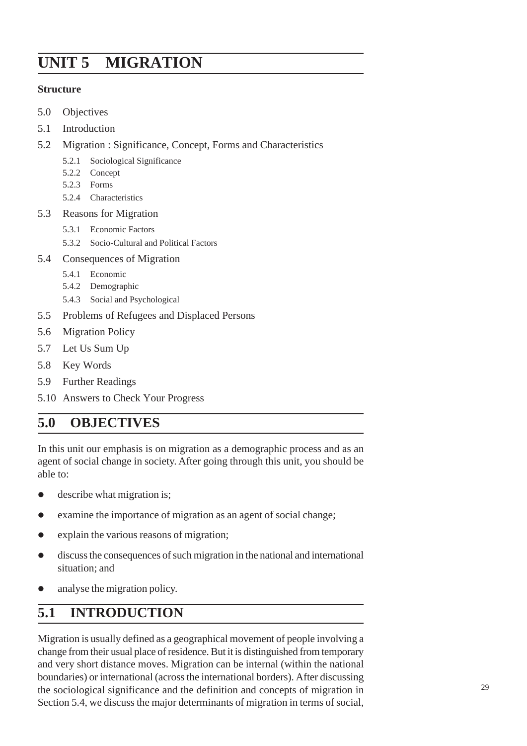# **UNIT 5 MIGRATION**

#### **Structure**

- 5.0 Objectives
- 5.1 Introduction
- 5.2 Migration : Significance, Concept, Forms and Characteristics
	- 5.2.1 Sociological Significance
	- 5.2.2 Concept
	- 5.2.3 Forms
	- 5.2.4 Characteristics
- 5.3 Reasons for Migration
	- 5.3.1 Economic Factors
	- 5.3.2 Socio-Cultural and Political Factors
- 5.4 Consequences of Migration
	- 5.4.1 Economic
	- 5.4.2 Demographic
	- 5.4.3 Social and Psychological
- 5.5 Problems of Refugees and Displaced Persons
- 5.6 Migration Policy
- 5.7 Let Us Sum Up
- 5.8 Key Words
- 5.9 Further Readings
- 5.10 Answers to Check Your Progress

## **5.0 OBJECTIVES**

In this unit our emphasis is on migration as a demographic process and as an agent of social change in society. After going through this unit, you should be able to:

- $\bullet$  describe what migration is;
- $\bullet$  examine the importance of migration as an agent of social change;
- explain the various reasons of migration;
- $\bullet$  discuss the consequences of such migration in the national and international situation; and
- analyse the migration policy.

## **5.1 INTRODUCTION**

Migration is usually defined as a geographical movement of people involving a change from their usual place of residence. But it is distinguished from temporary and very short distance moves. Migration can be internal (within the national boundaries) or international (across the international borders). After discussing the sociological significance and the definition and concepts of migration in Section 5.4, we discuss the major determinants of migration in terms of social,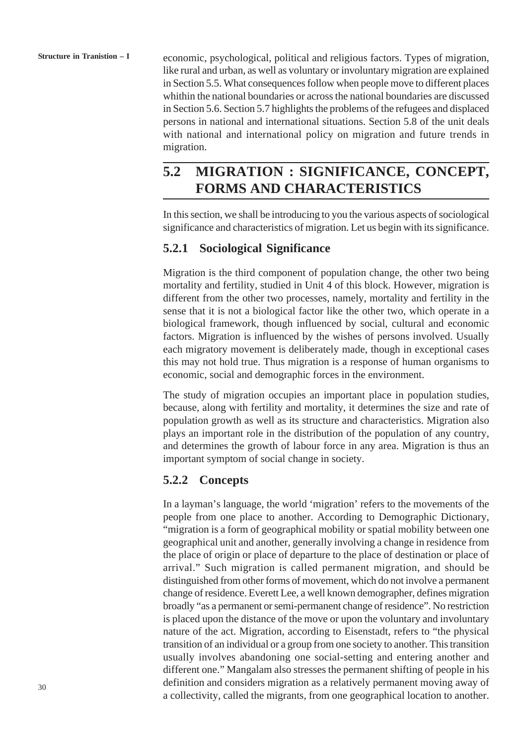**Structure in Tranistion – I**

economic, psychological, political and religious factors. Types of migration, like rural and urban, as well as voluntary or involuntary migration are explained in Section 5.5. What consequences follow when people move to different places whithin the national boundaries or across the national boundaries are discussed in Section 5.6. Section 5.7 highlights the problems of the refugees and displaced persons in national and international situations. Section 5.8 of the unit deals with national and international policy on migration and future trends in migration.

## **5.2 MIGRATION : SIGNIFICANCE, CONCEPT, FORMS AND CHARACTERISTICS**

In this section, we shall be introducing to you the various aspects of sociological significance and characteristics of migration. Let us begin with its significance.

## **5.2.1 Sociological Significance**

Migration is the third component of population change, the other two being mortality and fertility, studied in Unit 4 of this block. However, migration is different from the other two processes, namely, mortality and fertility in the sense that it is not a biological factor like the other two, which operate in a biological framework, though influenced by social, cultural and economic factors. Migration is influenced by the wishes of persons involved. Usually each migratory movement is deliberately made, though in exceptional cases this may not hold true. Thus migration is a response of human organisms to economic, social and demographic forces in the environment.

The study of migration occupies an important place in population studies, because, along with fertility and mortality, it determines the size and rate of population growth as well as its structure and characteristics. Migration also plays an important role in the distribution of the population of any country, and determines the growth of labour force in any area. Migration is thus an important symptom of social change in society.

## **5.2.2 Concepts**

In a layman's language, the world 'migration' refers to the movements of the people from one place to another. According to Demographic Dictionary, "migration is a form of geographical mobility or spatial mobility between one geographical unit and another, generally involving a change in residence from the place of origin or place of departure to the place of destination or place of arrival." Such migration is called permanent migration, and should be distinguished from other forms of movement, which do not involve a permanent change of residence. Everett Lee, a well known demographer, defines migration broadly "as a permanent or semi-permanent change of residence". No restriction is placed upon the distance of the move or upon the voluntary and involuntary nature of the act. Migration, according to Eisenstadt, refers to "the physical transition of an individual or a group from one society to another. This transition usually involves abandoning one social-setting and entering another and different one." Mangalam also stresses the permanent shifting of people in his definition and considers migration as a relatively permanent moving away of a collectivity, called the migrants, from one geographical location to another.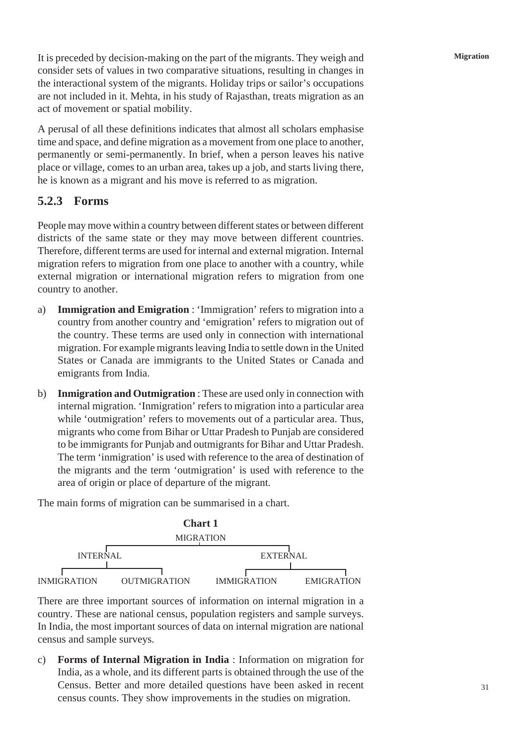**Migration**

It is preceded by decision-making on the part of the migrants. They weigh and consider sets of values in two comparative situations, resulting in changes in the interactional system of the migrants. Holiday trips or sailor's occupations are not included in it. Mehta, in his study of Rajasthan, treats migration as an act of movement or spatial mobility.

A perusal of all these definitions indicates that almost all scholars emphasise time and space, and define migration as a movement from one place to another, permanently or semi-permanently. In brief, when a person leaves his native place or village, comes to an urban area, takes up a job, and starts living there, he is known as a migrant and his move is referred to as migration.

### **5.2.3 Forms**

People may move within a country between different states or between different districts of the same state or they may move between different countries. Therefore, different terms are used for internal and external migration. Internal migration refers to migration from one place to another with a country, while external migration or international migration refers to migration from one country to another.

- a) **Immigration and Emigration** : 'Immigration' refers to migration into a country from another country and 'emigration' refers to migration out of the country. These terms are used only in connection with international migration. For example migrants leaving India to settle down in the United States or Canada are immigrants to the United States or Canada and emigrants from India.
- b) **Inmigration and Outmigration** : These are used only in connection with internal migration. 'Inmigration' refers to migration into a particular area while 'outmigration' refers to movements out of a particular area. Thus, migrants who come from Bihar or Uttar Pradesh to Punjab are considered to be immigrants for Punjab and outmigrants for Bihar and Uttar Pradesh. The term 'inmigration' is used with reference to the area of destination of the migrants and the term 'outmigration' is used with reference to the area of origin or place of departure of the migrant.

The main forms of migration can be summarised in a chart.



There are three important sources of information on internal migration in a country. These are national census, population registers and sample surveys. In India, the most important sources of data on internal migration are national census and sample surveys.

c) **Forms of Internal Migration in India** : Information on migration for India, as a whole, and its different parts is obtained through the use of the Census. Better and more detailed questions have been asked in recent census counts. They show improvements in the studies on migration.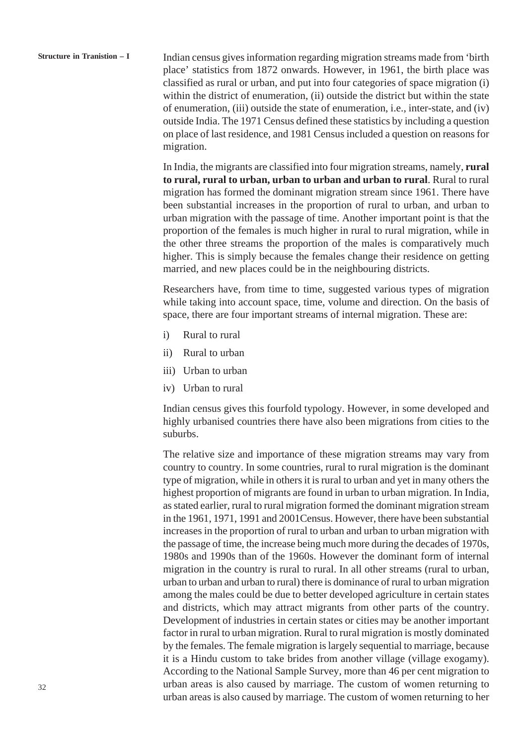**Structure in Tranistion – I** Indian census gives information regarding migration streams made from 'birth place' statistics from 1872 onwards. However, in 1961, the birth place was classified as rural or urban, and put into four categories of space migration (i) within the district of enumeration, (ii) outside the district but within the state of enumeration, (iii) outside the state of enumeration, i.e., inter-state, and (iv) outside India. The 1971 Census defined these statistics by including a question on place of last residence, and 1981 Census included a question on reasons for migration.

> In India, the migrants are classified into four migration streams, namely, **rural to rural, rural to urban, urban to urban and urban to rural**. Rural to rural migration has formed the dominant migration stream since 1961. There have been substantial increases in the proportion of rural to urban, and urban to urban migration with the passage of time. Another important point is that the proportion of the females is much higher in rural to rural migration, while in the other three streams the proportion of the males is comparatively much higher. This is simply because the females change their residence on getting married, and new places could be in the neighbouring districts.

> Researchers have, from time to time, suggested various types of migration while taking into account space, time, volume and direction. On the basis of space, there are four important streams of internal migration. These are:

- i) Rural to rural
- ii) Rural to urban
- iii) Urban to urban
- iv) Urban to rural

Indian census gives this fourfold typology. However, in some developed and highly urbanised countries there have also been migrations from cities to the suburbs.

The relative size and importance of these migration streams may vary from country to country. In some countries, rural to rural migration is the dominant type of migration, while in others it is rural to urban and yet in many others the highest proportion of migrants are found in urban to urban migration. In India, as stated earlier, rural to rural migration formed the dominant migration stream in the 1961, 1971, 1991 and 2001Census. However, there have been substantial increases in the proportion of rural to urban and urban to urban migration with the passage of time, the increase being much more during the decades of 1970s, 1980s and 1990s than of the 1960s. However the dominant form of internal migration in the country is rural to rural. In all other streams (rural to urban, urban to urban and urban to rural) there is dominance of rural to urban migration among the males could be due to better developed agriculture in certain states and districts, which may attract migrants from other parts of the country. Development of industries in certain states or cities may be another important factor in rural to urban migration. Rural to rural migration is mostly dominated by the females. The female migration is largely sequential to marriage, because it is a Hindu custom to take brides from another village (village exogamy). According to the National Sample Survey, more than 46 per cent migration to urban areas is also caused by marriage. The custom of women returning to urban areas is also caused by marriage. The custom of women returning to her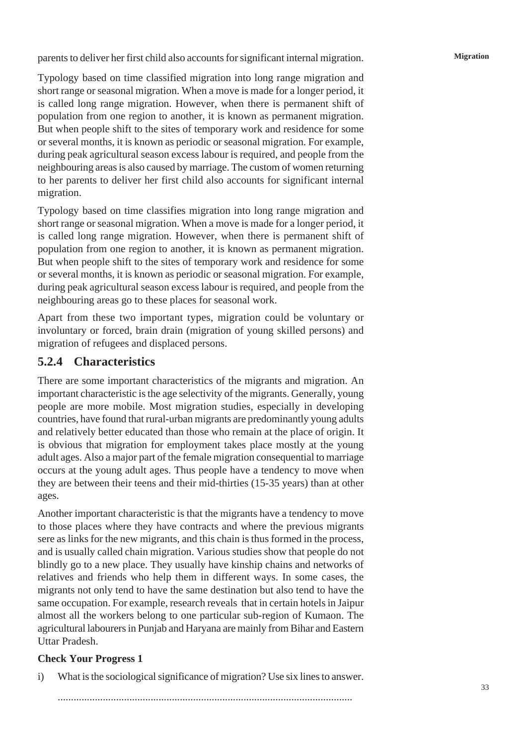parents to deliver her first child also accounts for significant internal migration.

**Migration**

Typology based on time classified migration into long range migration and short range or seasonal migration. When a move is made for a longer period, it is called long range migration. However, when there is permanent shift of population from one region to another, it is known as permanent migration. But when people shift to the sites of temporary work and residence for some or several months, it is known as periodic or seasonal migration. For example, during peak agricultural season excess labour is required, and people from the neighbouring areas is also caused by marriage. The custom of women returning to her parents to deliver her first child also accounts for significant internal migration.

Typology based on time classifies migration into long range migration and short range or seasonal migration. When a move is made for a longer period, it is called long range migration. However, when there is permanent shift of population from one region to another, it is known as permanent migration. But when people shift to the sites of temporary work and residence for some or several months, it is known as periodic or seasonal migration. For example, during peak agricultural season excess labour is required, and people from the neighbouring areas go to these places for seasonal work.

Apart from these two important types, migration could be voluntary or involuntary or forced, brain drain (migration of young skilled persons) and migration of refugees and displaced persons.

## **5.2.4 Characteristics**

There are some important characteristics of the migrants and migration. An important characteristic is the age selectivity of the migrants. Generally, young people are more mobile. Most migration studies, especially in developing countries, have found that rural-urban migrants are predominantly young adults and relatively better educated than those who remain at the place of origin. It is obvious that migration for employment takes place mostly at the young adult ages. Also a major part of the female migration consequential to marriage occurs at the young adult ages. Thus people have a tendency to move when they are between their teens and their mid-thirties (15-35 years) than at other ages.

Another important characteristic is that the migrants have a tendency to move to those places where they have contracts and where the previous migrants sere as links for the new migrants, and this chain is thus formed in the process, and is usually called chain migration. Various studies show that people do not blindly go to a new place. They usually have kinship chains and networks of relatives and friends who help them in different ways. In some cases, the migrants not only tend to have the same destination but also tend to have the same occupation. For example, research reveals that in certain hotels in Jaipur almost all the workers belong to one particular sub-region of Kumaon. The agricultural labourers in Punjab and Haryana are mainly from Bihar and Eastern Uttar Pradesh.

## **Check Your Progress 1**

i) What is the sociological significance of migration? Use six lines to answer.

...............................................................................................................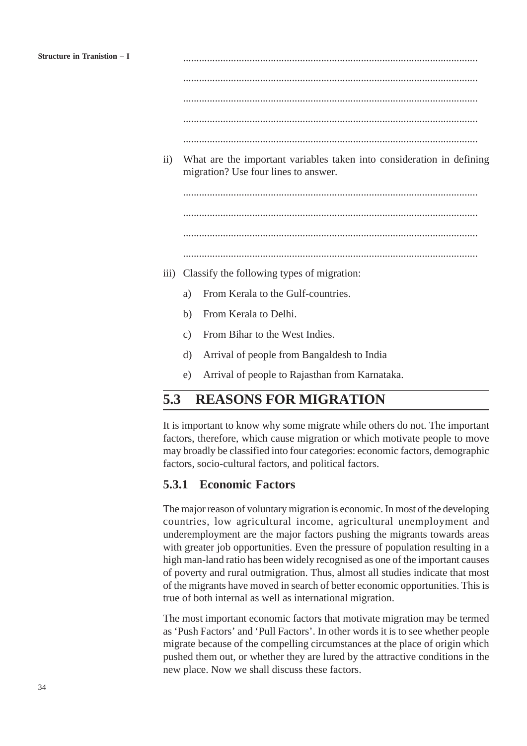............................................................................................................... ............................................................................................................... ...............................................................................................................

...............................................................................................................

- ...............................................................................................................
- ii) What are the important variables taken into consideration in defining migration? Use four lines to answer.

...............................................................................................................

...............................................................................................................

...............................................................................................................

- ...............................................................................................................
- iii) Classify the following types of migration:
	- a) From Kerala to the Gulf-countries.
	- b) From Kerala to Delhi.
	- c) From Bihar to the West Indies.
	- d) Arrival of people from Bangaldesh to India
	- e) Arrival of people to Rajasthan from Karnataka.

## **5.3 REASONS FOR MIGRATION**

It is important to know why some migrate while others do not. The important factors, therefore, which cause migration or which motivate people to move may broadly be classified into four categories: economic factors, demographic factors, socio-cultural factors, and political factors.

#### **5.3.1 Economic Factors**

The major reason of voluntary migration is economic. In most of the developing countries, low agricultural income, agricultural unemployment and underemployment are the major factors pushing the migrants towards areas with greater job opportunities. Even the pressure of population resulting in a high man-land ratio has been widely recognised as one of the important causes of poverty and rural outmigration. Thus, almost all studies indicate that most of the migrants have moved in search of better economic opportunities. This is true of both internal as well as international migration.

The most important economic factors that motivate migration may be termed as 'Push Factors' and 'Pull Factors'. In other words it is to see whether people migrate because of the compelling circumstances at the place of origin which pushed them out, or whether they are lured by the attractive conditions in the new place. Now we shall discuss these factors.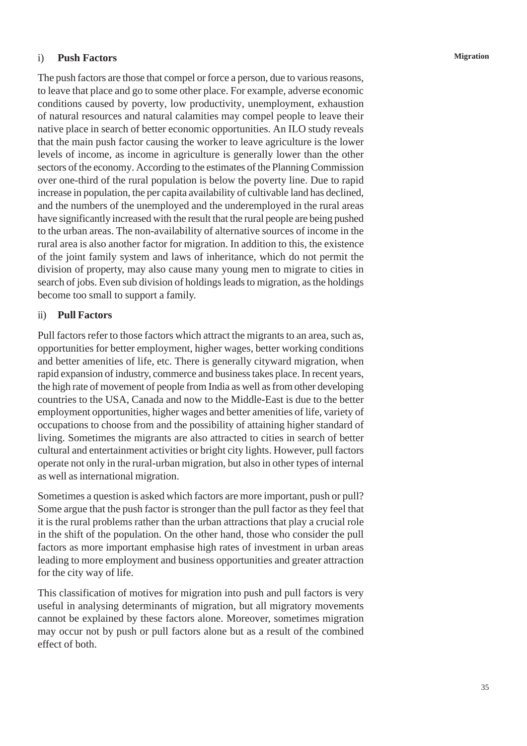#### i) **Push Factors**

The push factors are those that compel or force a person, due to various reasons, to leave that place and go to some other place. For example, adverse economic conditions caused by poverty, low productivity, unemployment, exhaustion of natural resources and natural calamities may compel people to leave their native place in search of better economic opportunities. An ILO study reveals that the main push factor causing the worker to leave agriculture is the lower levels of income, as income in agriculture is generally lower than the other sectors of the economy. According to the estimates of the Planning Commission over one-third of the rural population is below the poverty line. Due to rapid increase in population, the per capita availability of cultivable land has declined, and the numbers of the unemployed and the underemployed in the rural areas have significantly increased with the result that the rural people are being pushed to the urban areas. The non-availability of alternative sources of income in the rural area is also another factor for migration. In addition to this, the existence of the joint family system and laws of inheritance, which do not permit the division of property, may also cause many young men to migrate to cities in search of jobs. Even sub division of holdings leads to migration, as the holdings become too small to support a family.

#### ii) **Pull Factors**

Pull factors refer to those factors which attract the migrants to an area, such as, opportunities for better employment, higher wages, better working conditions and better amenities of life, etc. There is generally cityward migration, when rapid expansion of industry, commerce and business takes place. In recent years, the high rate of movement of people from India as well as from other developing countries to the USA, Canada and now to the Middle-East is due to the better employment opportunities, higher wages and better amenities of life, variety of occupations to choose from and the possibility of attaining higher standard of living. Sometimes the migrants are also attracted to cities in search of better cultural and entertainment activities or bright city lights. However, pull factors operate not only in the rural-urban migration, but also in other types of internal as well as international migration.

Sometimes a question is asked which factors are more important, push or pull? Some argue that the push factor is stronger than the pull factor as they feel that it is the rural problems rather than the urban attractions that play a crucial role in the shift of the population. On the other hand, those who consider the pull factors as more important emphasise high rates of investment in urban areas leading to more employment and business opportunities and greater attraction for the city way of life.

This classification of motives for migration into push and pull factors is very useful in analysing determinants of migration, but all migratory movements cannot be explained by these factors alone. Moreover, sometimes migration may occur not by push or pull factors alone but as a result of the combined effect of both.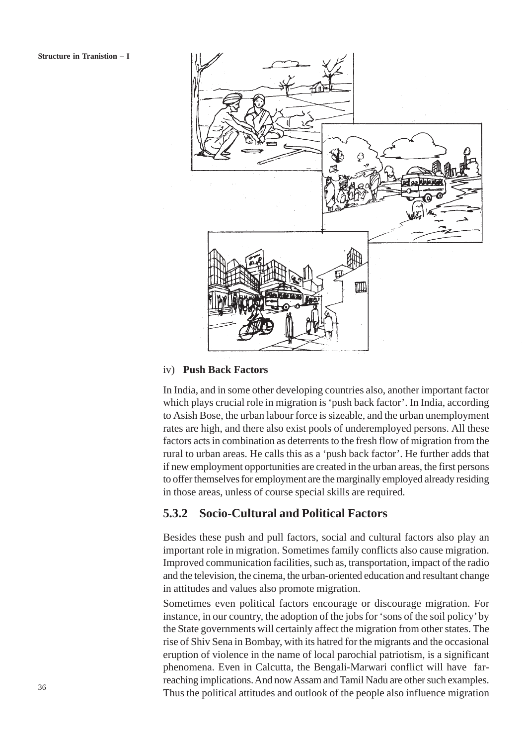

#### iv) **Push Back Factors**

In India, and in some other developing countries also, another important factor which plays crucial role in migration is 'push back factor'. In India, according to Asish Bose, the urban labour force is sizeable, and the urban unemployment rates are high, and there also exist pools of underemployed persons. All these factors acts in combination as deterrents to the fresh flow of migration from the rural to urban areas. He calls this as a 'push back factor'. He further adds that if new employment opportunities are created in the urban areas, the first persons to offer themselves for employment are the marginally employed already residing in those areas, unless of course special skills are required.

### **5.3.2 Socio-Cultural and Political Factors**

Besides these push and pull factors, social and cultural factors also play an important role in migration. Sometimes family conflicts also cause migration. Improved communication facilities, such as, transportation, impact of the radio and the television, the cinema, the urban-oriented education and resultant change in attitudes and values also promote migration.

Sometimes even political factors encourage or discourage migration. For instance, in our country, the adoption of the jobs for 'sons of the soil policy' by the State governments will certainly affect the migration from other states. The rise of Shiv Sena in Bombay, with its hatred for the migrants and the occasional eruption of violence in the name of local parochial patriotism, is a significant phenomena. Even in Calcutta, the Bengali-Marwari conflict will have farreaching implications. And now Assam and Tamil Nadu are other such examples. Thus the political attitudes and outlook of the people also influence migration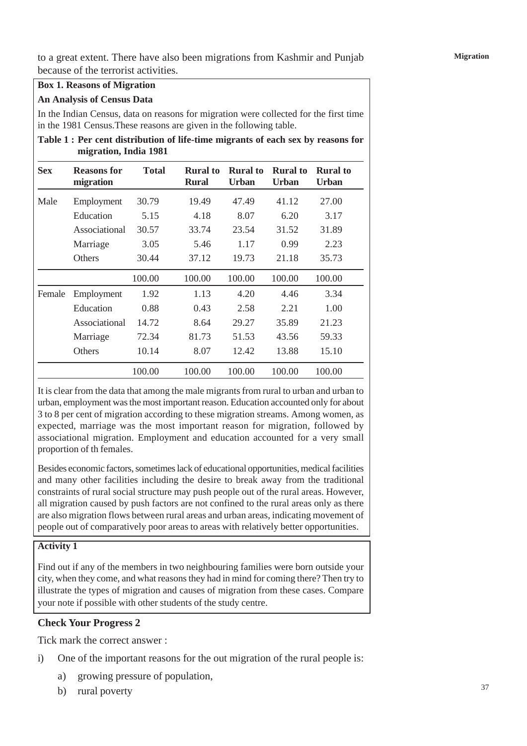to a great extent. There have also been migrations from Kashmir and Punjab because of the terrorist activities.

#### **Box 1. Reasons of Migration**

#### **An Analysis of Census Data**

In the Indian Census, data on reasons for migration were collected for the first time in the 1981 Census.These reasons are given in the following table.

**Table 1 : Per cent distribution of life-time migrants of each sex by reasons for migration, India 1981**

| <b>Sex</b> | <b>Reasons</b> for<br>migration | <b>Total</b> | <b>Rural</b> to<br><b>Rural</b> | <b>Rural</b> to<br>Urban | <b>Rural</b> to<br>Urban | <b>Rural</b> to<br><b>Urban</b> |
|------------|---------------------------------|--------------|---------------------------------|--------------------------|--------------------------|---------------------------------|
| Male       | Employment                      | 30.79        | 19.49                           | 47.49                    | 41.12                    | 27.00                           |
|            | Education                       | 5.15         | 4.18                            | 8.07                     | 6.20                     | 3.17                            |
|            | Associational                   | 30.57        | 33.74                           | 23.54                    | 31.52                    | 31.89                           |
|            | Marriage                        | 3.05         | 5.46                            | 1.17                     | 0.99                     | 2.23                            |
|            | <b>Others</b>                   | 30.44        | 37.12                           | 19.73                    | 21.18                    | 35.73                           |
|            |                                 | 100.00       | 100.00                          | 100.00                   | 100.00                   | 100.00                          |
| Female     | Employment                      | 1.92         | 1.13                            | 4.20                     | 4.46                     | 3.34                            |
|            | Education                       | 0.88         | 0.43                            | 2.58                     | 2.21                     | 1.00                            |
|            | Associational                   | 14.72        | 8.64                            | 29.27                    | 35.89                    | 21.23                           |
|            | Marriage                        | 72.34        | 81.73                           | 51.53                    | 43.56                    | 59.33                           |
|            | <b>Others</b>                   | 10.14        | 8.07                            | 12.42                    | 13.88                    | 15.10                           |
|            |                                 | 100.00       | 100.00                          | 100.00                   | 100.00                   | 100.00                          |

It is clear from the data that among the male migrants from rural to urban and urban to urban, employment was the most important reason. Education accounted only for about 3 to 8 per cent of migration according to these migration streams. Among women, as expected, marriage was the most important reason for migration, followed by associational migration. Employment and education accounted for a very small proportion of th females.

Besides economic factors, sometimes lack of educational opportunities, medical facilities and many other facilities including the desire to break away from the traditional constraints of rural social structure may push people out of the rural areas. However, all migration caused by push factors are not confined to the rural areas only as there are also migration flows between rural areas and urban areas, indicating movement of people out of comparatively poor areas to areas with relatively better opportunities.

#### **Activity 1**

Find out if any of the members in two neighbouring families were born outside your city, when they come, and what reasons they had in mind for coming there? Then try to illustrate the types of migration and causes of migration from these cases. Compare your note if possible with other students of the study centre.

#### **Check Your Progress 2**

Tick mark the correct answer :

- i) One of the important reasons for the out migration of the rural people is:
	- a) growing pressure of population,
	- b) rural poverty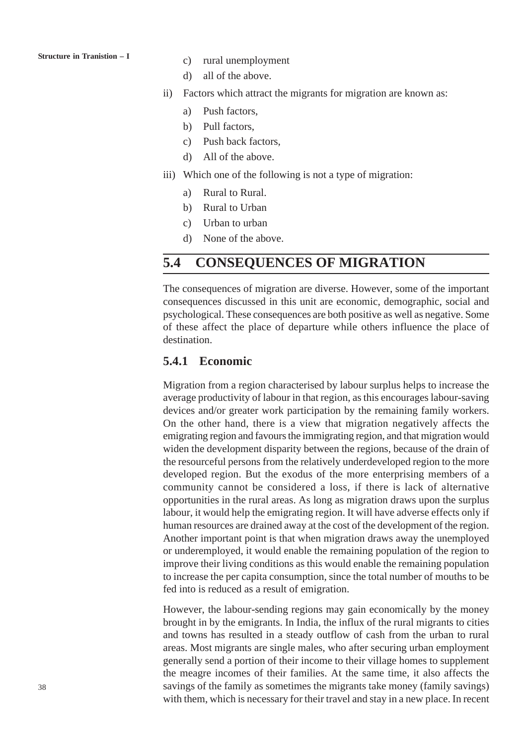#### **Structure in Tranistion – I**

- c) rural unemployment
- d) all of the above.
- ii) Factors which attract the migrants for migration are known as:
	- a) Push factors,
	- b) Pull factors,
	- c) Push back factors,
	- d) All of the above.
- iii) Which one of the following is not a type of migration:
	- a) Rural to Rural.
	- b) Rural to Urban
	- c) Urban to urban
	- d) None of the above.

## **5.4 CONSEQUENCES OF MIGRATION**

The consequences of migration are diverse. However, some of the important consequences discussed in this unit are economic, demographic, social and psychological. These consequences are both positive as well as negative. Some of these affect the place of departure while others influence the place of destination.

#### **5.4.1 Economic**

Migration from a region characterised by labour surplus helps to increase the average productivity of labour in that region, as this encourages labour-saving devices and/or greater work participation by the remaining family workers. On the other hand, there is a view that migration negatively affects the emigrating region and favours the immigrating region, and that migration would widen the development disparity between the regions, because of the drain of the resourceful persons from the relatively underdeveloped region to the more developed region. But the exodus of the more enterprising members of a community cannot be considered a loss, if there is lack of alternative opportunities in the rural areas. As long as migration draws upon the surplus labour, it would help the emigrating region. It will have adverse effects only if human resources are drained away at the cost of the development of the region. Another important point is that when migration draws away the unemployed or underemployed, it would enable the remaining population of the region to improve their living conditions as this would enable the remaining population to increase the per capita consumption, since the total number of mouths to be fed into is reduced as a result of emigration.

However, the labour-sending regions may gain economically by the money brought in by the emigrants. In India, the influx of the rural migrants to cities and towns has resulted in a steady outflow of cash from the urban to rural areas. Most migrants are single males, who after securing urban employment generally send a portion of their income to their village homes to supplement the meagre incomes of their families. At the same time, it also affects the savings of the family as sometimes the migrants take money (family savings) with them, which is necessary for their travel and stay in a new place. In recent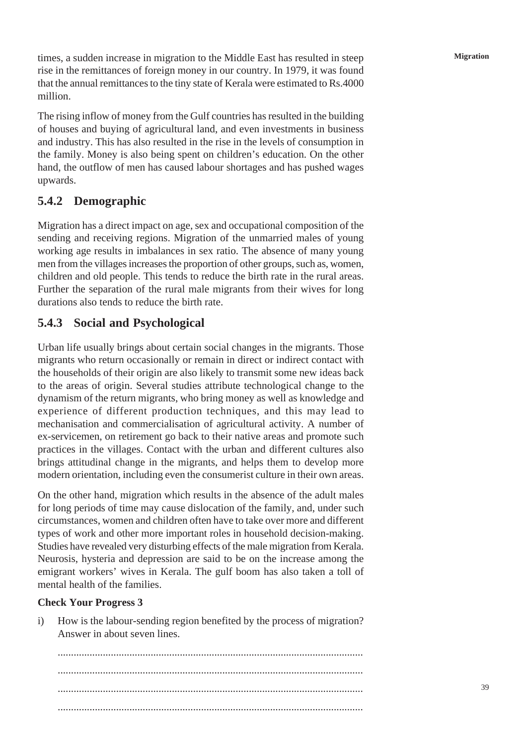times, a sudden increase in migration to the Middle East has resulted in steep rise in the remittances of foreign money in our country. In 1979, it was found that the annual remittances to the tiny state of Kerala were estimated to Rs.4000 million.

The rising inflow of money from the Gulf countries has resulted in the building of houses and buying of agricultural land, and even investments in business and industry. This has also resulted in the rise in the levels of consumption in the family. Money is also being spent on children's education. On the other hand, the outflow of men has caused labour shortages and has pushed wages upwards.

## **5.4.2 Demographic**

Migration has a direct impact on age, sex and occupational composition of the sending and receiving regions. Migration of the unmarried males of young working age results in imbalances in sex ratio. The absence of many young men from the villages increases the proportion of other groups, such as, women, children and old people. This tends to reduce the birth rate in the rural areas. Further the separation of the rural male migrants from their wives for long durations also tends to reduce the birth rate.

### **5.4.3 Social and Psychological**

Urban life usually brings about certain social changes in the migrants. Those migrants who return occasionally or remain in direct or indirect contact with the households of their origin are also likely to transmit some new ideas back to the areas of origin. Several studies attribute technological change to the dynamism of the return migrants, who bring money as well as knowledge and experience of different production techniques, and this may lead to mechanisation and commercialisation of agricultural activity. A number of ex-servicemen, on retirement go back to their native areas and promote such practices in the villages. Contact with the urban and different cultures also brings attitudinal change in the migrants, and helps them to develop more modern orientation, including even the consumerist culture in their own areas.

On the other hand, migration which results in the absence of the adult males for long periods of time may cause dislocation of the family, and, under such circumstances, women and children often have to take over more and different types of work and other more important roles in household decision-making. Studies have revealed very disturbing effects of the male migration from Kerala. Neurosis, hysteria and depression are said to be on the increase among the emigrant workers' wives in Kerala. The gulf boom has also taken a toll of mental health of the families.

#### **Check Your Progress 3**

i) How is the labour-sending region benefited by the process of migration? Answer in about seven lines.

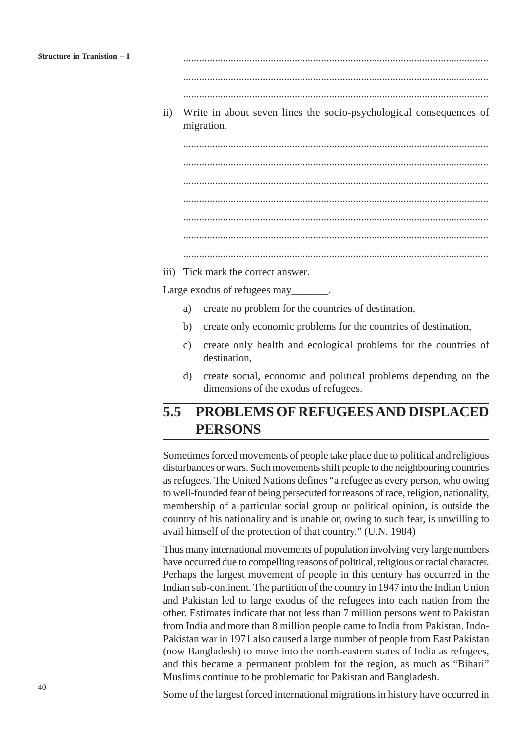................................................................................................................... ...................................................................................................................

ii) Write in about seven lines the socio-psychological consequences of migration.

................................................................................................................... ................................................................................................................... ................................................................................................................... ................................................................................................................... ...................................................................................................................

...................................................................................................................

iii) Tick mark the correct answer.

Large exodus of refugees may

- a) create no problem for the countries of destination,
- b) create only economic problems for the countries of destination,
- c) create only health and ecological problems for the countries of destination,
- d) create social, economic and political problems depending on the dimensions of the exodus of refugees.

## **5.5 PROBLEMS OF REFUGEES AND DISPLACED PERSONS**

Sometimes forced movements of people take place due to political and religious disturbances or wars. Such movements shift people to the neighbouring countries as refugees. The United Nations defines "a refugee as every person, who owing to well-founded fear of being persecuted for reasons of race, religion, nationality, membership of a particular social group or political opinion, is outside the country of his nationality and is unable or, owing to such fear, is unwilling to avail himself of the protection of that country." (U.N. 1984)

Thus many international movements of population involving very large numbers have occurred due to compelling reasons of political, religious or racial character. Perhaps the largest movement of people in this century has occurred in the Indian sub-continent. The partition of the country in 1947 into the Indian Union and Pakistan led to large exodus of the refugees into each nation from the other. Estimates indicate that not less than 7 million persons went to Pakistan from India and more than 8 million people came to India from Pakistan. Indo-Pakistan war in 1971 also caused a large number of people from East Pakistan (now Bangladesh) to move into the north-eastern states of India as refugees, and this became a permanent problem for the region, as much as "Bihari" Muslims continue to be problematic for Pakistan and Bangladesh.

Some of the largest forced international migrations in history have occurred in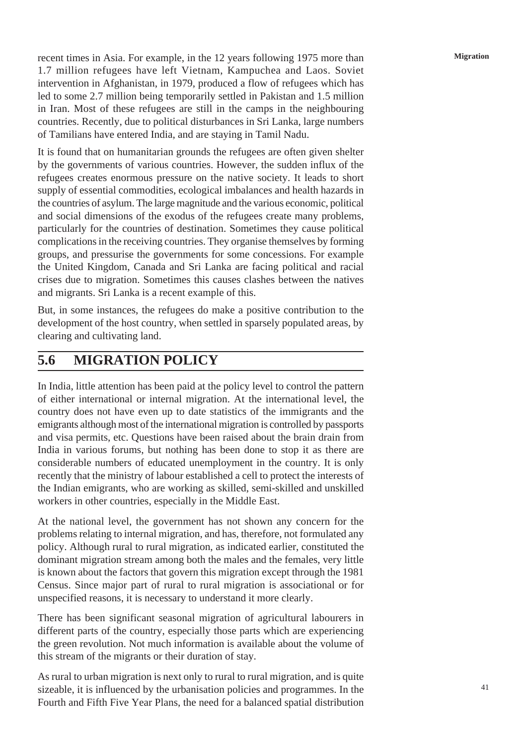recent times in Asia. For example, in the 12 years following 1975 more than 1.7 million refugees have left Vietnam, Kampuchea and Laos. Soviet intervention in Afghanistan, in 1979, produced a flow of refugees which has led to some 2.7 million being temporarily settled in Pakistan and 1.5 million in Iran. Most of these refugees are still in the camps in the neighbouring countries. Recently, due to political disturbances in Sri Lanka, large numbers of Tamilians have entered India, and are staying in Tamil Nadu.

It is found that on humanitarian grounds the refugees are often given shelter by the governments of various countries. However, the sudden influx of the refugees creates enormous pressure on the native society. It leads to short supply of essential commodities, ecological imbalances and health hazards in the countries of asylum. The large magnitude and the various economic, political and social dimensions of the exodus of the refugees create many problems, particularly for the countries of destination. Sometimes they cause political complications in the receiving countries. They organise themselves by forming groups, and pressurise the governments for some concessions. For example the United Kingdom, Canada and Sri Lanka are facing political and racial crises due to migration. Sometimes this causes clashes between the natives and migrants. Sri Lanka is a recent example of this.

But, in some instances, the refugees do make a positive contribution to the development of the host country, when settled in sparsely populated areas, by clearing and cultivating land.

## **5.6 MIGRATION POLICY**

In India, little attention has been paid at the policy level to control the pattern of either international or internal migration. At the international level, the country does not have even up to date statistics of the immigrants and the emigrants although most of the international migration is controlled by passports and visa permits, etc. Questions have been raised about the brain drain from India in various forums, but nothing has been done to stop it as there are considerable numbers of educated unemployment in the country. It is only recently that the ministry of labour established a cell to protect the interests of the Indian emigrants, who are working as skilled, semi-skilled and unskilled workers in other countries, especially in the Middle East.

At the national level, the government has not shown any concern for the problems relating to internal migration, and has, therefore, not formulated any policy. Although rural to rural migration, as indicated earlier, constituted the dominant migration stream among both the males and the females, very little is known about the factors that govern this migration except through the 1981 Census. Since major part of rural to rural migration is associational or for unspecified reasons, it is necessary to understand it more clearly.

There has been significant seasonal migration of agricultural labourers in different parts of the country, especially those parts which are experiencing the green revolution. Not much information is available about the volume of this stream of the migrants or their duration of stay.

As rural to urban migration is next only to rural to rural migration, and is quite sizeable, it is influenced by the urbanisation policies and programmes. In the Fourth and Fifth Five Year Plans, the need for a balanced spatial distribution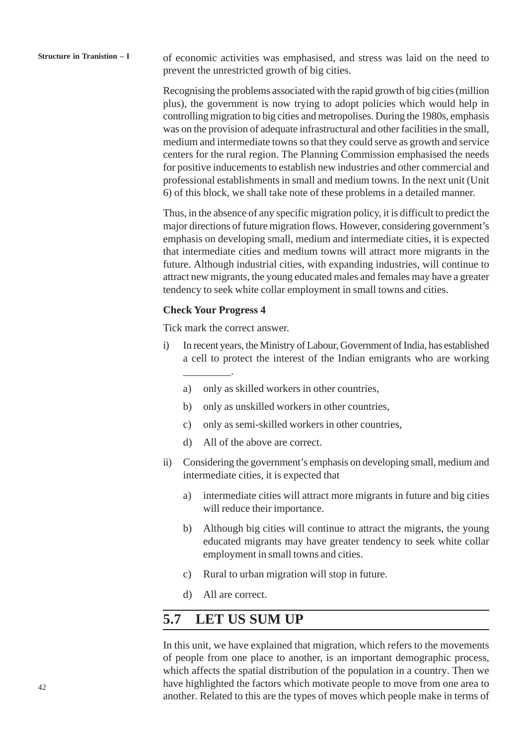Recognising the problems associated with the rapid growth of big cities (million plus), the government is now trying to adopt policies which would help in controlling migration to big cities and metropolises. During the 1980s, emphasis was on the provision of adequate infrastructural and other facilities in the small, medium and intermediate towns so that they could serve as growth and service centers for the rural region. The Planning Commission emphasised the needs for positive inducements to establish new industries and other commercial and professional establishments in small and medium towns. In the next unit (Unit 6) of this block, we shall take note of these problems in a detailed manner.

Thus, in the absence of any specific migration policy, it is difficult to predict the major directions of future migration flows. However, considering government's emphasis on developing small, medium and intermediate cities, it is expected that intermediate cities and medium towns will attract more migrants in the future. Although industrial cities, with expanding industries, will continue to attract new migrants, the young educated males and females may have a greater tendency to seek white collar employment in small towns and cities.

#### **Check Your Progress 4**

\_\_\_\_\_\_\_\_\_.

Tick mark the correct answer.

- i) In recent years, the Ministry of Labour, Government of India, has established a cell to protect the interest of the Indian emigrants who are working
	- a) only as skilled workers in other countries,
	- b) only as unskilled workers in other countries,
	- c) only as semi-skilled workers in other countries,
	- d) All of the above are correct.
- ii) Considering the government's emphasis on developing small, medium and intermediate cities, it is expected that
	- a) intermediate cities will attract more migrants in future and big cities will reduce their importance.
	- b) Although big cities will continue to attract the migrants, the young educated migrants may have greater tendency to seek white collar employment in small towns and cities.
	- c) Rural to urban migration will stop in future.
	- d) All are correct.

## **5.7 LET US SUM UP**

In this unit, we have explained that migration, which refers to the movements of people from one place to another, is an important demographic process, which affects the spatial distribution of the population in a country. Then we have highlighted the factors which motivate people to move from one area to another. Related to this are the types of moves which people make in terms of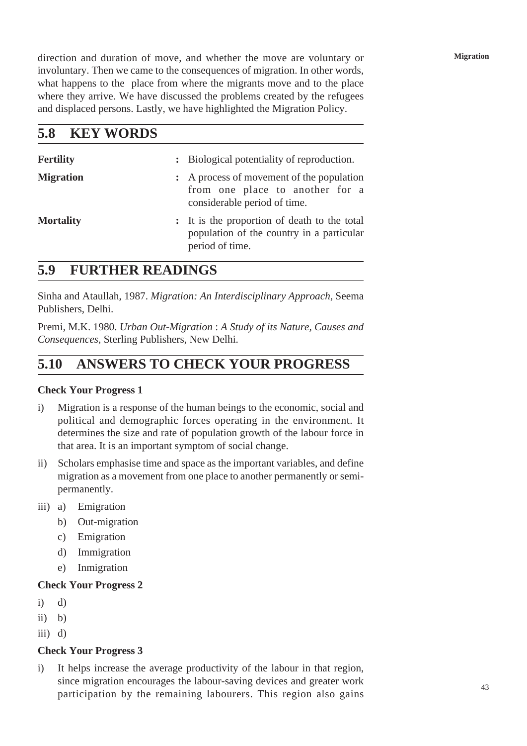direction and duration of move, and whether the move are voluntary or involuntary. Then we came to the consequences of migration. In other words, what happens to the place from where the migrants move and to the place where they arrive. We have discussed the problems created by the refugees and displaced persons. Lastly, we have highlighted the Migration Policy.

| <b>KEY WORDS</b><br>5.8 |  |
|-------------------------|--|
|-------------------------|--|

| <b>Fertility</b> | : Biological potentiality of reproduction.                                                                   |
|------------------|--------------------------------------------------------------------------------------------------------------|
| <b>Migration</b> | : A process of movement of the population<br>from one place to another for a<br>considerable period of time. |
| <b>Mortality</b> | : It is the proportion of death to the total<br>population of the country in a particular<br>period of time. |

## **5.9 FURTHER READINGS**

Sinha and Ataullah, 1987. *Migration: An Interdisciplinary Approach*, Seema Publishers, Delhi.

Premi, M.K. 1980. *Urban Out-Migration* : *A Study of its Nature, Causes and Consequences*, Sterling Publishers, New Delhi.

## **5.10 ANSWERS TO CHECK YOUR PROGRESS**

### **Check Your Progress 1**

- i) Migration is a response of the human beings to the economic, social and political and demographic forces operating in the environment. It determines the size and rate of population growth of the labour force in that area. It is an important symptom of social change.
- ii) Scholars emphasise time and space as the important variables, and define migration as a movement from one place to another permanently or semipermanently.
- iii) a) Emigration
	- b) Out-migration
	- c) Emigration
	- d) Immigration
	- e) Inmigration

### **Check Your Progress 2**

- $i)$  d)
- ii) b)
- $iii)$  d)

### **Check Your Progress 3**

i) It helps increase the average productivity of the labour in that region, since migration encourages the labour-saving devices and greater work participation by the remaining labourers. This region also gains